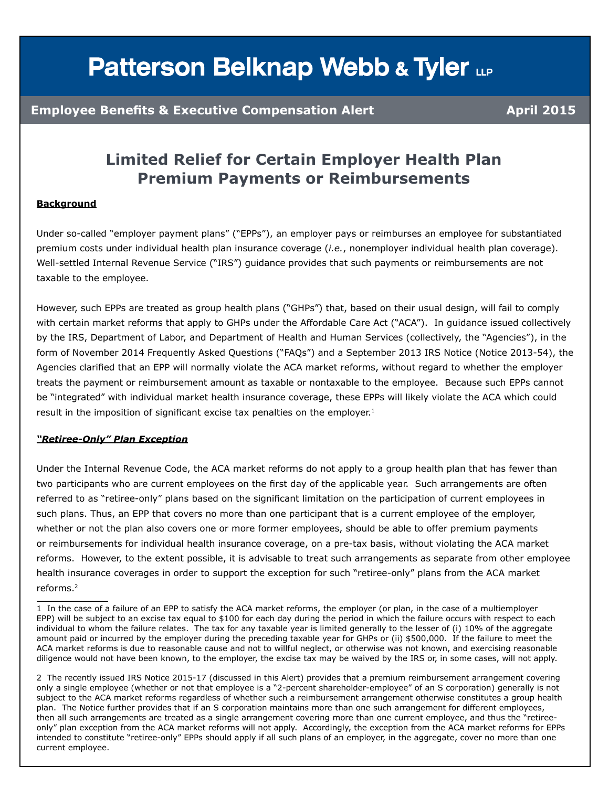# **Patterson Belknap Webb & Tyler LLP**

### **Employee Benefits & Executive Compensation Alert Alexander Algebra 4 (2015**)

### **Limited Relief for Certain Employer Health Plan Premium Payments or Reimbursements**

#### **Background**

Under so-called "employer payment plans" ("EPPs"), an employer pays or reimburses an employee for substantiated premium costs under individual health plan insurance coverage (*i.e.*, nonemployer individual health plan coverage). Well-settled Internal Revenue Service ("IRS") guidance provides that such payments or reimbursements are not taxable to the employee.

However, such EPPs are treated as group health plans ("GHPs") that, based on their usual design, will fail to comply with certain market reforms that apply to GHPs under the Affordable Care Act ("ACA"). In guidance issued collectively by the IRS, Department of Labor, and Department of Health and Human Services (collectively, the "Agencies"), in the form of November 2014 Frequently Asked Questions ("FAQs") and a September 2013 IRS Notice (Notice 2013-54), the Agencies clarified that an EPP will normally violate the ACA market reforms, without regard to whether the employer treats the payment or reimbursement amount as taxable or nontaxable to the employee. Because such EPPs cannot be "integrated" with individual market health insurance coverage, these EPPs will likely violate the ACA which could result in the imposition of significant excise tax penalties on the employer.<sup>1</sup>

#### *"Retiree-Only" Plan Exception*

Under the Internal Revenue Code, the ACA market reforms do not apply to a group health plan that has fewer than two participants who are current employees on the first day of the applicable year. Such arrangements are often referred to as "retiree-only" plans based on the significant limitation on the participation of current employees in such plans. Thus, an EPP that covers no more than one participant that is a current employee of the employer, whether or not the plan also covers one or more former employees, should be able to offer premium payments or reimbursements for individual health insurance coverage, on a pre-tax basis, without violating the ACA market reforms. However, to the extent possible, it is advisable to treat such arrangements as separate from other employee health insurance coverages in order to support the exception for such "retiree-only" plans from the ACA market reforms.2

<sup>1</sup> In the case of a failure of an EPP to satisfy the ACA market reforms, the employer (or plan, in the case of a multiemployer EPP) will be subject to an excise tax equal to \$100 for each day during the period in which the failure occurs with respect to each individual to whom the failure relates. The tax for any taxable year is limited generally to the lesser of (i) 10% of the aggregate amount paid or incurred by the employer during the preceding taxable year for GHPs or (ii) \$500,000. If the failure to meet the ACA market reforms is due to reasonable cause and not to willful neglect, or otherwise was not known, and exercising reasonable diligence would not have been known, to the employer, the excise tax may be waived by the IRS or, in some cases, will not apply.

<sup>2</sup> The recently issued IRS Notice 2015-17 (discussed in this Alert) provides that a premium reimbursement arrangement covering only a single employee (whether or not that employee is a "2-percent shareholder-employee" of an S corporation) generally is not subject to the ACA market reforms regardless of whether such a reimbursement arrangement otherwise constitutes a group health plan. The Notice further provides that if an S corporation maintains more than one such arrangement for different employees, then all such arrangements are treated as a single arrangement covering more than one current employee, and thus the "retireeonly" plan exception from the ACA market reforms will not apply. Accordingly, the exception from the ACA market reforms for EPPs intended to constitute "retiree-only" EPPs should apply if all such plans of an employer, in the aggregate, cover no more than one current employee.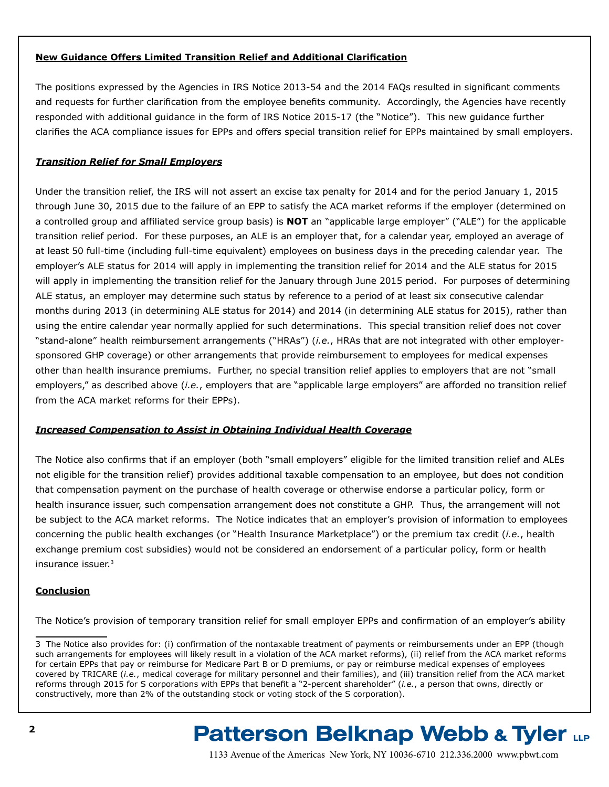#### **New Guidance Offers Limited Transition Relief and Additional Clarification**

The positions expressed by the Agencies in IRS Notice 2013-54 and the 2014 FAQs resulted in significant comments and requests for further clarification from the employee benefits community. Accordingly, the Agencies have recently responded with additional guidance in the form of IRS Notice 2015-17 (the "Notice"). This new guidance further clarifies the ACA compliance issues for EPPs and offers special transition relief for EPPs maintained by small employers.

#### *Transition Relief for Small Employers*

Under the transition relief, the IRS will not assert an excise tax penalty for 2014 and for the period January 1, 2015 through June 30, 2015 due to the failure of an EPP to satisfy the ACA market reforms if the employer (determined on a controlled group and affiliated service group basis) is **NOT** an "applicable large employer" ("ALE") for the applicable transition relief period. For these purposes, an ALE is an employer that, for a calendar year, employed an average of at least 50 full-time (including full-time equivalent) employees on business days in the preceding calendar year. The employer's ALE status for 2014 will apply in implementing the transition relief for 2014 and the ALE status for 2015 will apply in implementing the transition relief for the January through June 2015 period. For purposes of determining ALE status, an employer may determine such status by reference to a period of at least six consecutive calendar months during 2013 (in determining ALE status for 2014) and 2014 (in determining ALE status for 2015), rather than using the entire calendar year normally applied for such determinations. This special transition relief does not cover "stand-alone" health reimbursement arrangements ("HRAs") (*i.e.*, HRAs that are not integrated with other employersponsored GHP coverage) or other arrangements that provide reimbursement to employees for medical expenses other than health insurance premiums. Further, no special transition relief applies to employers that are not "small employers," as described above (*i.e.*, employers that are "applicable large employers" are afforded no transition relief from the ACA market reforms for their EPPs).

#### *Increased Compensation to Assist in Obtaining Individual Health Coverage*

The Notice also confirms that if an employer (both "small employers" eligible for the limited transition relief and ALEs not eligible for the transition relief) provides additional taxable compensation to an employee, but does not condition that compensation payment on the purchase of health coverage or otherwise endorse a particular policy, form or health insurance issuer, such compensation arrangement does not constitute a GHP. Thus, the arrangement will not be subject to the ACA market reforms. The Notice indicates that an employer's provision of information to employees concerning the public health exchanges (or "Health Insurance Marketplace") or the premium tax credit (*i.e.*, health exchange premium cost subsidies) would not be considered an endorsement of a particular policy, form or health insurance issuer.3

#### **Conclusion**

The Notice's provision of temporary transition relief for small employer EPPs and confirmation of an employer's ability

## **Patterson Belknap Webb & Tyler LLP**

<sup>3</sup> The Notice also provides for: (i) confirmation of the nontaxable treatment of payments or reimbursements under an EPP (though such arrangements for employees will likely result in a violation of the ACA market reforms), (ii) relief from the ACA market reforms for certain EPPs that pay or reimburse for Medicare Part B or D premiums, or pay or reimburse medical expenses of employees covered by TRICARE (*i.e.*, medical coverage for military personnel and their families), and (iii) transition relief from the ACA market reforms through 2015 for S corporations with EPPs that benefit a "2-percent shareholder" (*i.e.*, a person that owns, directly or constructively, more than 2% of the outstanding stock or voting stock of the S corporation).